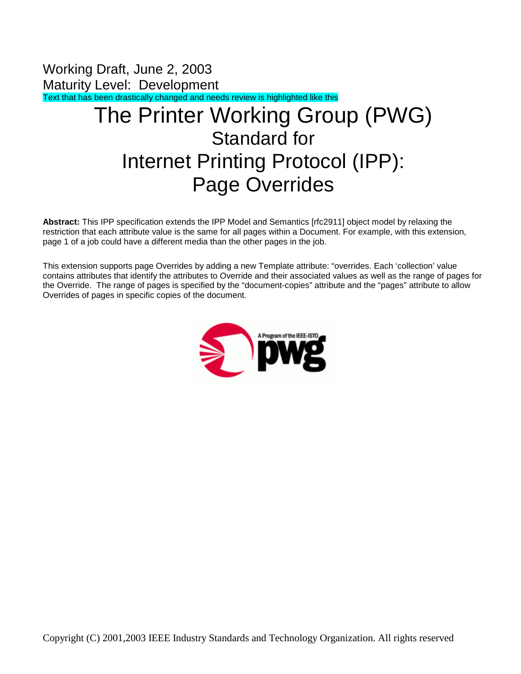Working Draft, June 2, 2003 Maturity Level: Development Text that has been drastically changed and needs review is highlighted like this

# The Printer Working Group (PWG) Standard for Internet Printing Protocol (IPP): Page Overrides

**Abstract:** This IPP specification extends the IPP Model and Semantics [rfc2911] object model by relaxing the restriction that each attribute value is the same for all pages within a Document. For example, with this extension, page 1 of a job could have a different media than the other pages in the job.

This extension supports page Overrides by adding a new Template attribute: "overrides. Each 'collection' value contains attributes that identify the attributes to Override and their associated values as well as the range of pages for the Override. The range of pages is specified by the "document-copies" attribute and the "pages" attribute to allow Overrides of pages in specific copies of the document.

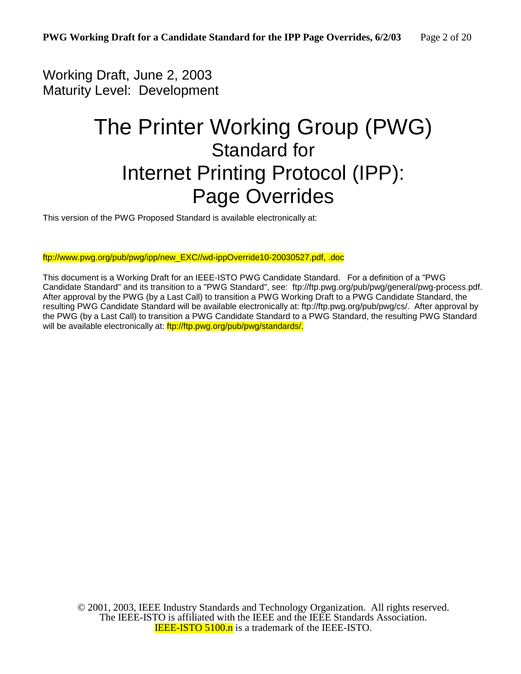### Working Draft, June 2, 2003 Maturity Level: Development

# The Printer Working Group (PWG) Standard for Internet Printing Protocol (IPP): Page Overrides

This version of the PWG Proposed Standard is available electronically at:

ftp://www.pwg.org/pub/pwg/ipp/new\_EXC//wd-ippOverride10-20030527.pdf, .doc

This document is a Working Draft for an IEEE-ISTO PWG Candidate Standard. For a definition of a "PWG Candidate Standard" and its transition to a "PWG Standard", see: ftp://ftp.pwg.org/pub/pwg/general/pwg-process.pdf. After approval by the PWG (by a Last Call) to transition a PWG Working Draft to a PWG Candidate Standard, the resulting PWG Candidate Standard will be available electronically at: ftp://ftp.pwg.org/pub/pwg/cs/. After approval by the PWG (by a Last Call) to transition a PWG Candidate Standard to a PWG Standard, the resulting PWG Standard will be available electronically at:  $f<sub>tp</sub>$ ://ftp.pwg.org/pub/pwg/standards/.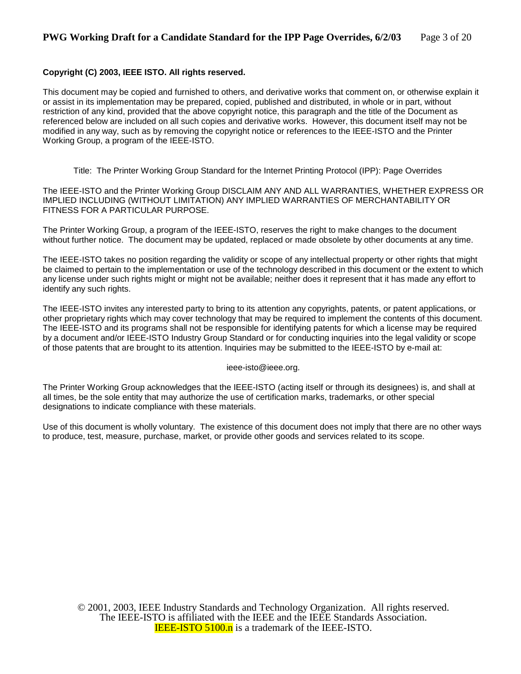#### **Copyright (C) 2003, IEEE ISTO. All rights reserved.**

This document may be copied and furnished to others, and derivative works that comment on, or otherwise explain it or assist in its implementation may be prepared, copied, published and distributed, in whole or in part, without restriction of any kind, provided that the above copyright notice, this paragraph and the title of the Document as referenced below are included on all such copies and derivative works. However, this document itself may not be modified in any way, such as by removing the copyright notice or references to the IEEE-ISTO and the Printer Working Group, a program of the IEEE-ISTO.

Title: The Printer Working Group Standard for the Internet Printing Protocol (IPP): Page Overrides

The IEEE-ISTO and the Printer Working Group DISCLAIM ANY AND ALL WARRANTIES, WHETHER EXPRESS OR IMPLIED INCLUDING (WITHOUT LIMITATION) ANY IMPLIED WARRANTIES OF MERCHANTABILITY OR FITNESS FOR A PARTICULAR PURPOSE.

The Printer Working Group, a program of the IEEE-ISTO, reserves the right to make changes to the document without further notice. The document may be updated, replaced or made obsolete by other documents at any time.

The IEEE-ISTO takes no position regarding the validity or scope of any intellectual property or other rights that might be claimed to pertain to the implementation or use of the technology described in this document or the extent to which any license under such rights might or might not be available; neither does it represent that it has made any effort to identify any such rights.

The IEEE-ISTO invites any interested party to bring to its attention any copyrights, patents, or patent applications, or other proprietary rights which may cover technology that may be required to implement the contents of this document. The IEEE-ISTO and its programs shall not be responsible for identifying patents for which a license may be required by a document and/or IEEE-ISTO Industry Group Standard or for conducting inquiries into the legal validity or scope of those patents that are brought to its attention. Inquiries may be submitted to the IEEE-ISTO by e-mail at:

ieee-isto@ieee.org.

The Printer Working Group acknowledges that the IEEE-ISTO (acting itself or through its designees) is, and shall at all times, be the sole entity that may authorize the use of certification marks, trademarks, or other special designations to indicate compliance with these materials.

Use of this document is wholly voluntary. The existence of this document does not imply that there are no other ways to produce, test, measure, purchase, market, or provide other goods and services related to its scope.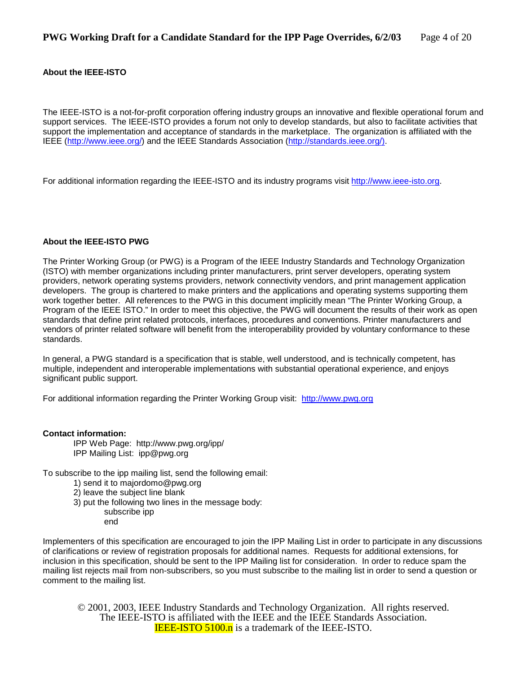#### **About the IEEE-ISTO**

The IEEE-ISTO is a not-for-profit corporation offering industry groups an innovative and flexible operational forum and support services. The IEEE-ISTO provides a forum not only to develop standards, but also to facilitate activities that support the implementation and acceptance of standards in the marketplace. The organization is affiliated with the IEEE (http://www.ieee.org/) and the IEEE Standards Association (http://standards.ieee.org/).

For additional information regarding the IEEE-ISTO and its industry programs visit http://www.ieee-isto.org.

#### **About the IEEE-ISTO PWG**

The Printer Working Group (or PWG) is a Program of the IEEE Industry Standards and Technology Organization (ISTO) with member organizations including printer manufacturers, print server developers, operating system providers, network operating systems providers, network connectivity vendors, and print management application developers. The group is chartered to make printers and the applications and operating systems supporting them work together better. All references to the PWG in this document implicitly mean "The Printer Working Group, a Program of the IEEE ISTO." In order to meet this objective, the PWG will document the results of their work as open standards that define print related protocols, interfaces, procedures and conventions. Printer manufacturers and vendors of printer related software will benefit from the interoperability provided by voluntary conformance to these standards.

In general, a PWG standard is a specification that is stable, well understood, and is technically competent, has multiple, independent and interoperable implementations with substantial operational experience, and enjoys significant public support.

For additional information regarding the Printer Working Group visit: http://www.pwg.org

#### **Contact information:**

IPP Web Page: http://www.pwg.org/ipp/ IPP Mailing List: ipp@pwg.org

To subscribe to the ipp mailing list, send the following email:

- 1) send it to majordomo@pwg.org
- 2) leave the subject line blank
- 3) put the following two lines in the message body:
	- subscribe ipp
	- end

Implementers of this specification are encouraged to join the IPP Mailing List in order to participate in any discussions of clarifications or review of registration proposals for additional names. Requests for additional extensions, for inclusion in this specification, should be sent to the IPP Mailing list for consideration. In order to reduce spam the mailing list rejects mail from non-subscribers, so you must subscribe to the mailing list in order to send a question or comment to the mailing list.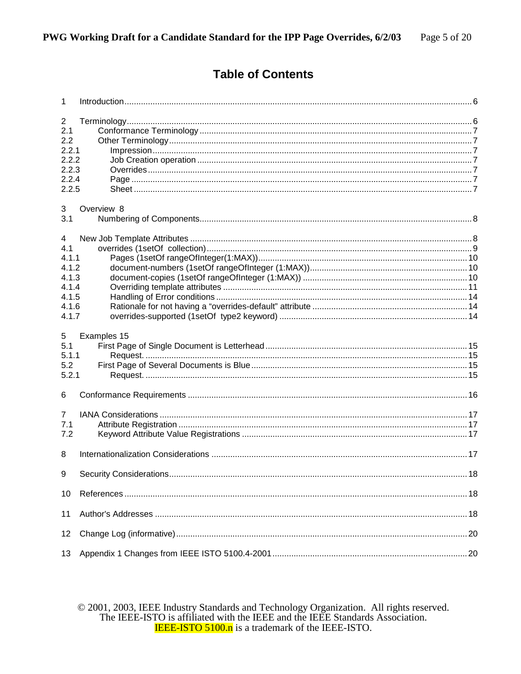### **Table of Contents**

| $\mathbf{1}$                                                              |             |  |
|---------------------------------------------------------------------------|-------------|--|
| $\overline{2}$<br>2.1<br>2.2<br>2.2.1<br>2.2.2<br>2.2.3<br>2.2.4<br>2.2.5 |             |  |
| 3<br>3.1                                                                  | Overview 8  |  |
| 4<br>4.1<br>4.1.1<br>4.1.2<br>4.1.3<br>4.1.4<br>4.1.5<br>4.1.6<br>4.1.7   |             |  |
| 5<br>5.1<br>5.1.1<br>5.2<br>5.2.1                                         | Examples 15 |  |
| 6                                                                         |             |  |
| $\overline{7}$<br>7.1<br>7.2                                              |             |  |
| 8                                                                         |             |  |
| 9                                                                         |             |  |
| 10                                                                        |             |  |
| 11                                                                        |             |  |
| 12                                                                        |             |  |
| 13                                                                        |             |  |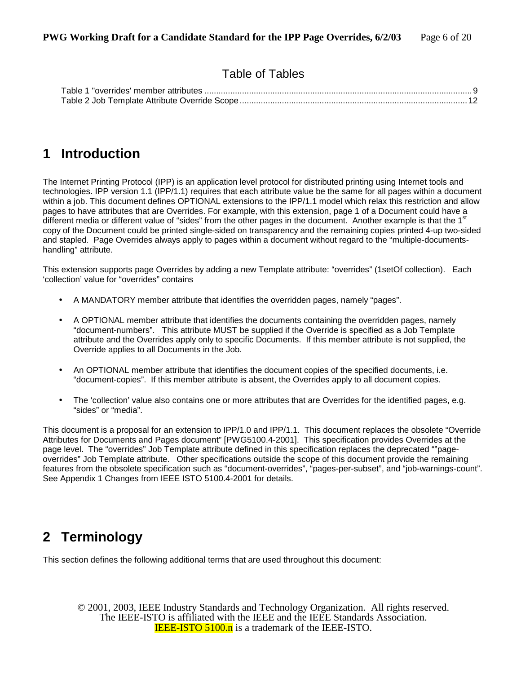### Table of Tables

### **1 Introduction**

The Internet Printing Protocol (IPP) is an application level protocol for distributed printing using Internet tools and technologies. IPP version 1.1 (IPP/1.1) requires that each attribute value be the same for all pages within a document within a job. This document defines OPTIONAL extensions to the IPP/1.1 model which relax this restriction and allow pages to have attributes that are Overrides. For example, with this extension, page 1 of a Document could have a different media or different value of "sides" from the other pages in the document. Another example is that the 1<sup>st</sup> copy of the Document could be printed single-sided on transparency and the remaining copies printed 4-up two-sided and stapled. Page Overrides always apply to pages within a document without regard to the "multiple-documentshandling" attribute.

This extension supports page Overrides by adding a new Template attribute: "overrides" (1setOf collection). Each 'collection' value for "overrides" contains

- A MANDATORY member attribute that identifies the overridden pages, namely "pages".
- A OPTIONAL member attribute that identifies the documents containing the overridden pages, namely "document-numbers". This attribute MUST be supplied if the Override is specified as a Job Template attribute and the Overrides apply only to specific Documents. If this member attribute is not supplied, the Override applies to all Documents in the Job.
- An OPTIONAL member attribute that identifies the document copies of the specified documents, i.e. "document-copies". If this member attribute is absent, the Overrides apply to all document copies.
- The 'collection' value also contains one or more attributes that are Overrides for the identified pages, e.g. "sides" or "media".

This document is a proposal for an extension to IPP/1.0 and IPP/1.1. This document replaces the obsolete "Override Attributes for Documents and Pages document" [PWG5100.4-2001]. This specification provides Overrides at the page level. The "overrides" Job Template attribute defined in this specification replaces the deprecated ""pageoverrides" Job Template attribute. Other specifications outside the scope of this document provide the remaining features from the obsolete specification such as "document-overrides", "pages-per-subset", and "job-warnings-count". See Appendix 1 Changes from IEEE ISTO 5100.4-2001 for details.

# **2 Terminology**

This section defines the following additional terms that are used throughout this document: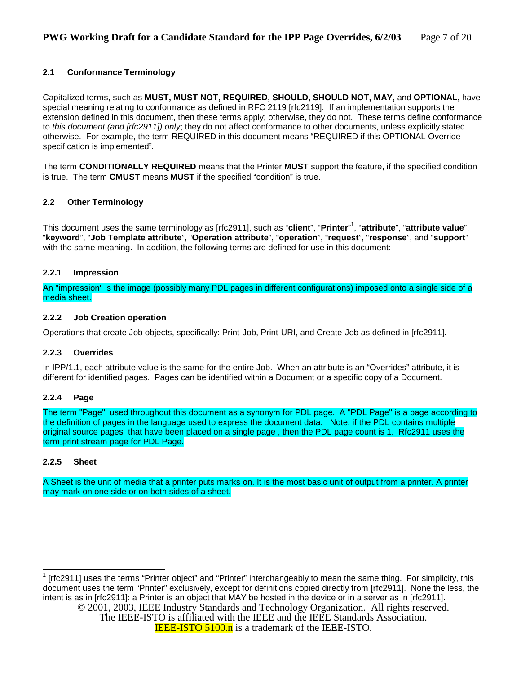#### **2.1 Conformance Terminology**

Capitalized terms, such as **MUST, MUST NOT, REQUIRED, SHOULD, SHOULD NOT, MAY,** and **OPTIONAL**, have special meaning relating to conformance as defined in RFC 2119 [rfc2119]. If an implementation supports the extension defined in this document, then these terms apply; otherwise, they do not. These terms define conformance to *this document (and [rfc2911]) only*; they do not affect conformance to other documents, unless explicitly stated otherwise. For example, the term REQUIRED in this document means "REQUIRED if this OPTIONAL Override specification is implemented"*.* 

The term **CONDITIONALLY REQUIRED** means that the Printer **MUST** support the feature, if the specified condition is true. The term **CMUST** means **MUST** if the specified "condition" is true.

#### **2.2 Other Terminology**

This document uses the same terminology as [rfc2911], such as "**client**", "**Printer**" 1 , "**attribute**", "**attribute value**", "**keyword**", "**Job Template attribute**", "**Operation attribute**", "**operation**", "**request**", "**response**", and "**support**" with the same meaning. In addition, the following terms are defined for use in this document:

#### **2.2.1 Impression**

An "impression" is the image (possibly many PDL pages in different configurations) imposed onto a single side of a media sheet.

#### **2.2.2 Job Creation operation**

Operations that create Job objects, specifically: Print-Job, Print-URI, and Create-Job as defined in [rfc2911].

#### **2.2.3 Overrides**

In IPP/1.1, each attribute value is the same for the entire Job. When an attribute is an "Overrides" attribute, it is different for identified pages. Pages can be identified within a Document or a specific copy of a Document.

#### **2.2.4 Page**

The term "Page" used throughout this document as a synonym for PDL page. A "PDL Page" is a page according to the definition of pages in the language used to express the document data. Note: if the PDL contains multiple original source pages that have been placed on a single page , then the PDL page count is 1. Rfc2911 uses the term print stream page for PDL Page.

#### **2.2.5 Sheet**

A Sheet is the unit of media that a printer puts marks on. It is the most basic unit of output from a printer. A printer may mark on one side or on both sides of a sheet.

© 2001, 2003, IEEE Industry Standards and Technology Organization. All rights reserved. The IEEE-ISTO is affiliated with the IEEE and the IEEE Standards Association. **IEEE-ISTO 5100.n** is a trademark of the IEEE-ISTO.  $\overline{\phantom{a}}$  $1$  [rfc2911] uses the terms "Printer object" and "Printer" interchangeably to mean the same thing. For simplicity, this document uses the term "Printer" exclusively, except for definitions copied directly from [rfc2911]. None the less, the intent is as in [rfc2911]: a Printer is an object that MAY be hosted in the device or in a server as in [rfc2911].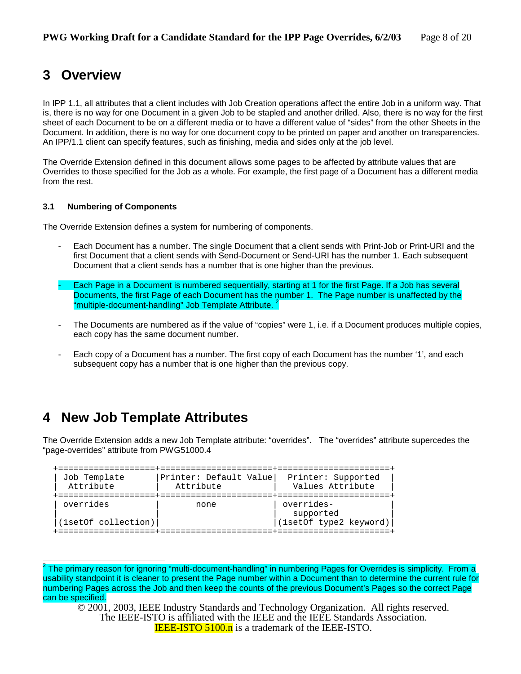## **3 Overview**

In IPP 1.1, all attributes that a client includes with Job Creation operations affect the entire Job in a uniform way. That is, there is no way for one Document in a given Job to be stapled and another drilled. Also, there is no way for the first sheet of each Document to be on a different media or to have a different value of "sides" from the other Sheets in the Document. In addition, there is no way for one document copy to be printed on paper and another on transparencies. An IPP/1.1 client can specify features, such as finishing, media and sides only at the job level.

The Override Extension defined in this document allows some pages to be affected by attribute values that are Overrides to those specified for the Job as a whole. For example, the first page of a Document has a different media from the rest.

#### **3.1 Numbering of Components**

The Override Extension defines a system for numbering of components.

- Each Document has a number. The single Document that a client sends with Print-Job or Print-URI and the first Document that a client sends with Send-Document or Send-URI has the number 1. Each subsequent Document that a client sends has a number that is one higher than the previous.
- Each Page in a Document is numbered sequentially, starting at 1 for the first Page. If a Job has several Documents, the first Page of each Document has the number 1. The Page number is unaffected by the "multiple-document-handling" Job Template Attribute.<sup>2</sup>
- The Documents are numbered as if the value of "copies" were 1, i.e. if a Document produces multiple copies, each copy has the same document number.
- Each copy of a Document has a number. The first copy of each Document has the number '1', and each subsequent copy has a number that is one higher than the previous copy.

## **4 New Job Template Attributes**

l

The Override Extension adds a new Job Template attribute: "overrides". The "overrides" attribute supercedes the "page-overrides" attribute from PWG51000.4

| Job Template                     | Printer: Default Value | Printer: Supported                                |
|----------------------------------|------------------------|---------------------------------------------------|
| Attribute                        | Attribute              | Values Attribute                                  |
| overrides<br>(1setOf collection) | none                   | overrides-<br>supported<br>(1setOf type2 keyword) |

 $^2$  The primary reason for ignoring "multi-document-handling" in numbering Pages for Overrides is simplicity. From a usability standpoint it is cleaner to present the Page number within a Document than to determine the current rule for numbering Pages across the Job and then keep the counts of the previous Document's Pages so the correct Page can be specified.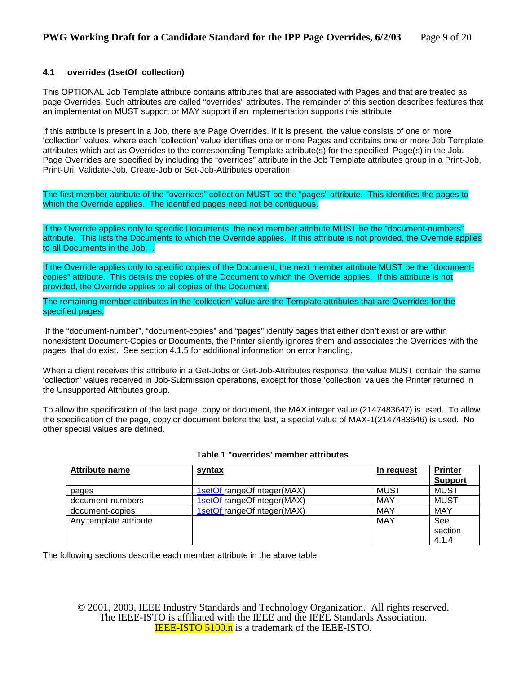#### **4.1 overrides (1setOf collection)**

This OPTIONAL Job Template attribute contains attributes that are associated with Pages and that are treated as page Overrides. Such attributes are called "overrides" attributes. The remainder of this section describes features that an implementation MUST support or MAY support if an implementation supports this attribute.

If this attribute is present in a Job, there are Page Overrides. If it is present, the value consists of one or more 'collection' values, where each 'collection' value identifies one or more Pages and contains one or more Job Template attributes which act as Overrides to the corresponding Template attribute(s) for the specified Page(s) in the Job. Page Overrides are specified by including the "overrides" attribute in the Job Template attributes group in a Print-Job, Print-Uri, Validate-Job, Create-Job or Set-Job-Attributes operation.

The first member attribute of the "overrides" collection MUST be the "pages" attribute. This identifies the pages to which the Override applies. The identified pages need not be contiguous.

If the Override applies only to specific Documents, the next member attribute MUST be the "document-numbers" attribute. This lists the Documents to which the Override applies. If this attribute is not provided, the Override applies to all Documents in the Job. .

If the Override applies only to specific copies of the Document, the next member attribute MUST be the "documentcopies" attribute. This details the copies of the Document to which the Override applies. If this attribute is not provided, the Override applies to all copies of the Document.

The remaining member attributes in the 'collection' value are the Template attributes that are Overrides for the specified pages.

 If the "document-number", "document-copies" and "pages" identify pages that either don't exist or are within nonexistent Document-Copies or Documents, the Printer silently ignores them and associates the Overrides with the pages that do exist. See section 4.1.5 for additional information on error handling.

When a client receives this attribute in a Get-Jobs or Get-Job-Attributes response, the value MUST contain the same 'collection' values received in Job-Submission operations, except for those 'collection' values the Printer returned in the Unsupported Attributes group.

To allow the specification of the last page, copy or document, the MAX integer value (2147483647) is used. To allow the specification of the page, copy or document before the last, a special value of MAX-1(2147483646) is used. No other special values are defined.

| Attribute name         | <u>syntax</u>              | In request  | <b>Printer</b><br><b>Support</b> |
|------------------------|----------------------------|-------------|----------------------------------|
| pages                  | 1setOf rangeOfInteger(MAX) | <b>MUST</b> | <b>MUST</b>                      |
| document-numbers       | 1setOf rangeOfInteger(MAX) | <b>MAY</b>  | <b>MUST</b>                      |
| document-copies        | 1setOf rangeOfInteger(MAX) | <b>MAY</b>  | <b>MAY</b>                       |
| Any template attribute |                            | <b>MAY</b>  | See<br>section<br>4.1.4          |

#### **Table 1 "overrides' member attributes**

The following sections describe each member attribute in the above table.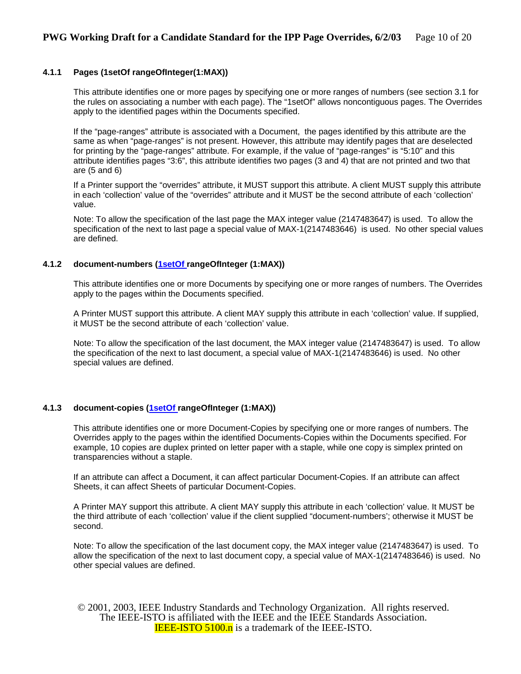#### **4.1.1 Pages (1setOf rangeOfInteger(1:MAX))**

This attribute identifies one or more pages by specifying one or more ranges of numbers (see section 3.1 for the rules on associating a number with each page). The "1setOf" allows noncontiguous pages. The Overrides apply to the identified pages within the Documents specified.

If the "page-ranges" attribute is associated with a Document, the pages identified by this attribute are the same as when "page-ranges" is not present. However, this attribute may identify pages that are deselected for printing by the "page-ranges" attribute. For example, if the value of "page-ranges" is "5:10" and this attribute identifies pages "3:6", this attribute identifies two pages (3 and 4) that are not printed and two that are (5 and 6)

If a Printer support the "overrides" attribute, it MUST support this attribute. A client MUST supply this attribute in each 'collection' value of the "overrides" attribute and it MUST be the second attribute of each 'collection' value.

Note: To allow the specification of the last page the MAX integer value (2147483647) is used. To allow the specification of the next to last page a special value of MAX-1(2147483646) is used. No other special values are defined.

#### **4.1.2 document-numbers (1setOf rangeOfInteger (1:MAX))**

This attribute identifies one or more Documents by specifying one or more ranges of numbers. The Overrides apply to the pages within the Documents specified.

A Printer MUST support this attribute. A client MAY supply this attribute in each 'collection' value. If supplied, it MUST be the second attribute of each 'collection' value.

Note: To allow the specification of the last document, the MAX integer value (2147483647) is used. To allow the specification of the next to last document, a special value of MAX-1(2147483646) is used. No other special values are defined.

#### **4.1.3 document-copies (1setOf rangeOfInteger (1:MAX))**

This attribute identifies one or more Document-Copies by specifying one or more ranges of numbers. The Overrides apply to the pages within the identified Documents-Copies within the Documents specified. For example, 10 copies are duplex printed on letter paper with a staple, while one copy is simplex printed on transparencies without a staple.

If an attribute can affect a Document, it can affect particular Document-Copies. If an attribute can affect Sheets, it can affect Sheets of particular Document-Copies.

A Printer MAY support this attribute. A client MAY supply this attribute in each 'collection' value. It MUST be the third attribute of each 'collection' value if the client supplied "document-numbers'; otherwise it MUST be second.

Note: To allow the specification of the last document copy, the MAX integer value (2147483647) is used. To allow the specification of the next to last document copy, a special value of MAX-1(2147483646) is used. No other special values are defined.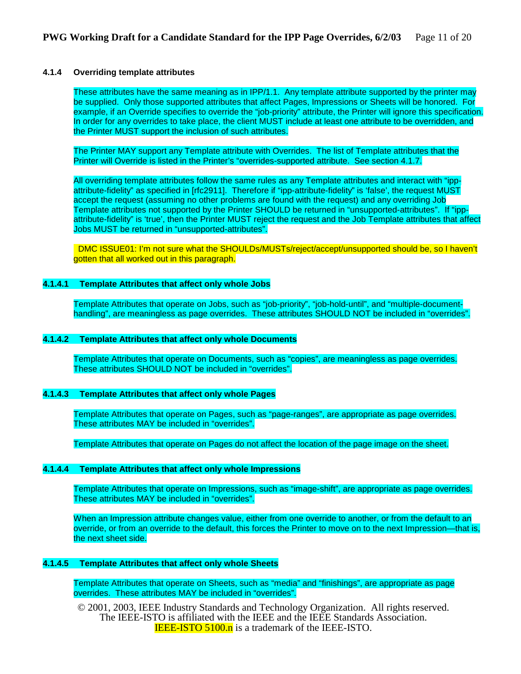#### **4.1.4 Overriding template attributes**

These attributes have the same meaning as in IPP/1.1. Any template attribute supported by the printer may be supplied. Only those supported attributes that affect Pages, Impressions or Sheets will be honored. For example, if an Override specifies to override the "job-priority" attribute, the Printer will ignore this specification. In order for any overrides to take place, the client MUST include at least one attribute to be overridden, and the Printer MUST support the inclusion of such attributes.

The Printer MAY support any Template attribute with Overrides. The list of Template attributes that the Printer will Override is listed in the Printer's "overrides-supported attribute. See section 4.1.7.

All overriding template attributes follow the same rules as any Template attributes and interact with "ippattribute-fidelity" as specified in [rfc2911]. Therefore if "ipp-attribute-fidelity" is 'false', the request MUST accept the request (assuming no other problems are found with the request) and any overriding Job Template attributes not supported by the Printer SHOULD be returned in "unsupported-attributes". If "ippattribute-fidelity" is 'true', then the Printer MUST reject the request and the Job Template attributes that affect Jobs MUST be returned in "unsupported-attributes".

 DMC ISSUE01: I'm not sure what the SHOULDs/MUSTs/reject/accept/unsupported should be, so I haven't gotten that all worked out in this paragraph.

#### **4.1.4.1 Template Attributes that affect only whole Jobs**

Template Attributes that operate on Jobs, such as "job-priority", "job-hold-until", and "multiple-documenthandling", are meaningless as page overrides. These attributes SHOULD NOT be included in "overrides".

#### **4.1.4.2 Template Attributes that affect only whole Documents**

Template Attributes that operate on Documents, such as "copies", are meaningless as page overrides. These attributes SHOULD NOT be included in "overrides".

#### **4.1.4.3 Template Attributes that affect only whole Pages**

Template Attributes that operate on Pages, such as "page-ranges", are appropriate as page overrides. These attributes MAY be included in "overrides".

Template Attributes that operate on Pages do not affect the location of the page image on the sheet.

#### **4.1.4.4 Template Attributes that affect only whole Impressions**

Template Attributes that operate on Impressions, such as "image-shift", are appropriate as page overrides. These attributes MAY be included in "overrides".

When an Impression attribute changes value, either from one override to another, or from the default to an override, or from an override to the default, this forces the Printer to move on to the next Impression—that is, the next sheet side.

#### **4.1.4.5 Template Attributes that affect only whole Sheets**

Template Attributes that operate on Sheets, such as "media" and "finishings", are appropriate as page overrides. These attributes MAY be included in "overrides".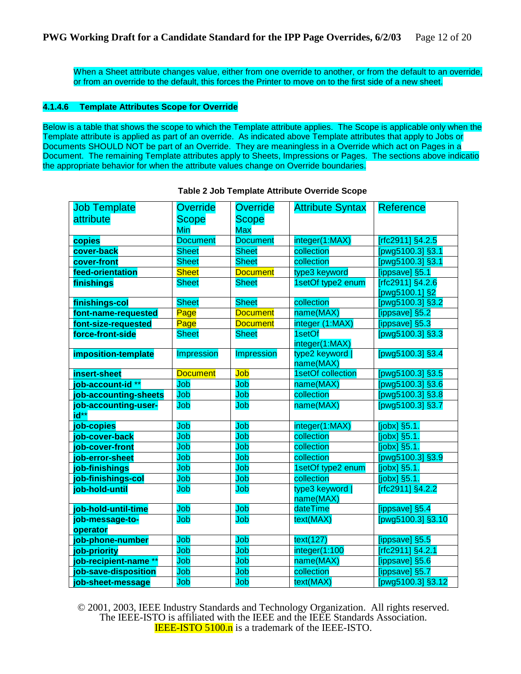When a Sheet attribute changes value, either from one override to another, or from the default to an override, or from an override to the default, this forces the Printer to move on to the first side of a new sheet.

#### **4.1.4.6 Template Attributes Scope for Override**

Below is a table that shows the scope to which the Template attribute applies. The Scope is applicable only when the Template attribute is applied as part of an override. As indicated above Template attributes that apply to Jobs or Documents SHOULD NOT be part of an Override. They are meaningless in a Override which act on Pages in a Document. The remaining Template attributes apply to Sheets, Impressions or Pages. The sections above indicatio the appropriate behavior for when the attribute values change on Override boundaries.

| <b>Job Template</b>          | <b>Override</b> | <b>Override</b> | <b>Attribute Syntax</b>      | <b>Reference</b>                   |
|------------------------------|-----------------|-----------------|------------------------------|------------------------------------|
| attribute                    | <b>Scope</b>    | <b>Scope</b>    |                              |                                    |
|                              | Min             | <b>Max</b>      |                              |                                    |
| copies                       | <b>Document</b> | <b>Document</b> | integer(1:MAX)               | [rfc2911] §4.2.5                   |
| cover-back                   | <b>Sheet</b>    | <b>Sheet</b>    | collection                   | [pwg5100.3] §3.1                   |
| cover-front                  | <b>Sheet</b>    | <b>Sheet</b>    | collection                   | [pwg5100.3] §3.1                   |
| feed-orientation             | <b>Sheet</b>    | <b>Document</b> | type3 keyword                | [ippsave] §5.1                     |
| finishings                   | <b>Sheet</b>    | <b>Sheet</b>    | 1setOf type2 enum            | [rfc2911] §4.2.6<br>[pwg5100.1] §2 |
| finishings-col               | <b>Sheet</b>    | <b>Sheet</b>    | collection                   | [pwg5100.3] §3.2                   |
| font-name-requested          | Page            | <b>Document</b> | name(MAX)                    | [ippsave] §5.2                     |
| font-size-requested          | Page            | <b>Document</b> | integer (1:MAX)              | [ippsave] §5.3                     |
| force-front-side             | <b>Sheet</b>    | <b>Sheet</b>    | 1setOf<br>integer(1:MAX)     | [pwg5100.3] §3.3                   |
| imposition-template          | Impression      | Impression      | type2 keyword  <br>name(MAX) | [pwg5100.3] §3.4                   |
| insert-sheet                 | <b>Document</b> | Job             | 1setOf collection            | [pwg5100.3] §3.5                   |
| job-account-id **            | Job             | Job             | name(MAX)                    | [pwg5100.3] §3.6                   |
| job-accounting-sheets        | Job             | Job             | collection                   | [pwg5100.3] §3.8                   |
| job-accounting-user-<br>id** | Job             | Job             | name(MAX)                    | [pwg5100.3] §3.7                   |
| job-copies                   | Job             | Job             | integer(1:MAX)               | $[jobx]$ §5.1.                     |
| job-cover-back               | Job             | Job             | collection                   | [jobx] §5.1.                       |
| job-cover-front              | Job             | Job             | collection                   | $[jobx]$ §5.1.                     |
| job-error-sheet              | Job             | Job             | collection                   | [pwg5100.3] §3.9                   |
| job-finishings               | Job             | Job             | 1setOf type2 enum            | [jobx] §5.1.                       |
| job-finishings-col           | Job             | Job             | collection                   | $[jobx]$ §5.1.                     |
| job-hold-until               | Job             | Job             | type3 keyword  <br>name(MAX) | [ $rfc2911$ ] §4.2.2               |
| job-hold-until-time          | Job             | Job             | dateTime                     | [ippsave] §5.4                     |
| job-message-to-              | Job             | Job             | text(MAX)                    | [pwg5100.3] §3.10                  |
| operator                     |                 |                 |                              |                                    |
| job-phone-number             | Job             | Job             | text(127)                    | [ippsave] §5.5                     |
| job-priority                 | Job             | Job             | integer(1:100                | [ $rfc2911$ ] §4.2.1               |
| job-recipient-name **        | Job             | Job             | name(MAX)                    | [ippsave] §5.6                     |
| job-save-disposition         | Job             | Job             | collection                   | [ippsave] §5.7                     |
| job-sheet-message            | Job             | Job             | text(MAX)                    | [pwg5100.3] §3.12                  |

#### **Table 2 Job Template Attribute Override Scope**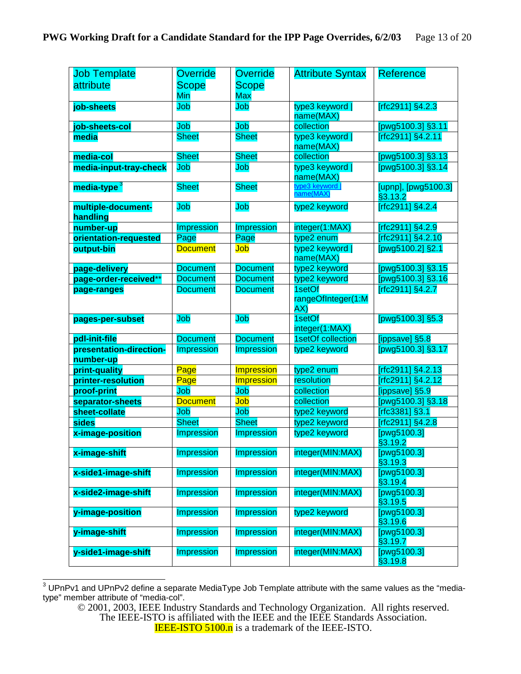| <b>Job Template</b>     | <b>Override</b>   | <b>Override</b>   | <b>Attribute Syntax</b>              | <b>Reference</b>                          |
|-------------------------|-------------------|-------------------|--------------------------------------|-------------------------------------------|
| attribute               | <b>Scope</b>      | <b>Scope</b>      |                                      |                                           |
|                         | Min               | <b>Max</b>        |                                      |                                           |
| job-sheets              | Job               | Job               | type3 keyword                        | [rfc2911] §4.2.3                          |
|                         |                   |                   | name(MAX)                            |                                           |
| job-sheets-col          | Job               | Job               | collection                           | [pwg5100.3] §3.11                         |
| media                   | <b>Sheet</b>      | <b>Sheet</b>      | type3 keyword                        | [rfc2911] §4.2.11                         |
|                         |                   |                   | name(MAX)                            |                                           |
| media-col               | <b>Sheet</b>      | <b>Sheet</b>      | collection                           | [pwg5100.3] §3.13                         |
| media-input-tray-check  | Job               | Job               | type3 keyword  <br>name(MAX)         | [pwg5100.3] §3.14                         |
| media-type <sup>3</sup> | <b>Sheet</b>      | <b>Sheet</b>      | type3 keyword                        | [upnp], [pwg5100.3]                       |
|                         |                   |                   | name(MAX)                            | §3.13.2                                   |
| multiple-document-      | Job               | Job               | type2 keyword                        | $[rfc2911]$ §4.2.4                        |
| handling                |                   |                   |                                      |                                           |
| number-up               | <b>Impression</b> | <b>Impression</b> | integer(1:MAX)                       | [rfc2911] §4.2.9                          |
| orientation-requested   | Page              | Page              | type2 enum                           | [rfc2911] §4.2.10                         |
| output-bin              | <b>Document</b>   | Job               | type2 keyword                        | [pwg5100.2] §2.1                          |
|                         |                   |                   | name(MAX)                            |                                           |
| page-delivery           | <b>Document</b>   | <b>Document</b>   | type2 keyword                        | [pwg5100.3] §3.15                         |
| page-order-received**   | <b>Document</b>   | <b>Document</b>   | type2 keyword                        | [pwg5100.3] §3.16                         |
| page-ranges             | <b>Document</b>   | <b>Document</b>   | 1setOf                               | [rfc2911] §4.2.7                          |
|                         |                   |                   | rangeOfInteger(1:M<br>AX)            |                                           |
|                         |                   |                   |                                      |                                           |
|                         |                   |                   |                                      |                                           |
| pages-per-subset        | Job               | Job               | 1setOf                               | [pwg5100.3] §5.3                          |
| pdl-init-file           | <b>Document</b>   | <b>Document</b>   | integer(1:MAX)<br>1setOf collection  |                                           |
| presentation-direction- | <b>Impression</b> | <b>Impression</b> | type2 keyword                        | [ippsave] §5.8<br>[pwg5100.3] §3.17       |
| number-up               |                   |                   |                                      |                                           |
| print-quality           | Page              | <b>Impression</b> | type2 enum                           | [rfc2911] §4.2.13                         |
| printer-resolution      | Page              | <b>Impression</b> | resolution                           | [rfc2911] §4.2.12                         |
| proof-print             | Job               | Job               | collection                           | [ippsave] §5.9                            |
| separator-sheets        | <b>Document</b>   | Job               | collection                           | [pwg5100.3] §3.18                         |
| sheet-collate           | Job               | Job               | type2 keyword                        | [ $rfc3381$ ] §3.1                        |
| sides                   | <b>Sheet</b>      | <b>Sheet</b>      | type2 keyword                        | [rfc2911] §4.2.8                          |
| x-image-position        | Impression        | <b>Impression</b> | type2 keyword                        | [pwg5100.3]<br>§3.19.2                    |
| x-image-shift           | <b>Impression</b> | <b>Impression</b> | integer(MIN:MAX)                     | [pwg5100.3]                               |
| x-side1-image-shift     | <b>Impression</b> | <b>Impression</b> | integer(MIN:MAX)                     | §3.19.3<br>[pwg5100.3]                    |
| x-side2-image-shift     | <b>Impression</b> | <b>Impression</b> | integer(MIN:MAX)                     | §3.19.4<br>[pwg5100.3]                    |
| y-image-position        | <b>Impression</b> | <b>Impression</b> | type2 keyword                        | §3.19.5<br>[pwg5100.3]                    |
|                         |                   |                   |                                      | §3.19.6                                   |
| y-image-shift           | <b>Impression</b> | <b>Impression</b> | integer(MIN:MAX)<br>integer(MIN:MAX) | [ $pvg5100.3$ ]<br>§3.19.7<br>[pwg5100.3] |

 3 UPnPv1 and UPnPv2 define a separate MediaType Job Template attribute with the same values as the "mediatype" member attribute of "media-col".

<sup>© 2001, 2003,</sup> IEEE Industry Standards and Technology Organization. All rights reserved.

The IEEE-ISTO is affiliated with the IEEE and the IEEE Standards Association.

**IEEE-ISTO 5100.n** is a trademark of the IEEE-ISTO.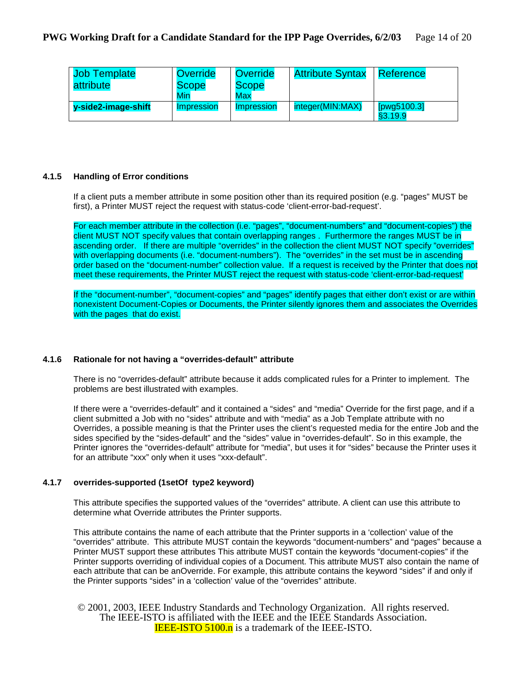| <b>Job Template</b> | <b>Override</b>                 | <b>Override</b>   | <b>Attribute Syntax</b> | l Reference |
|---------------------|---------------------------------|-------------------|-------------------------|-------------|
| attribute           | <b>Scope</b>                    | <b>Scope</b>      |                         |             |
|                     | Min                             | Max               |                         |             |
| y-side2-image-shift | <i><u><b>Impression</b></u></i> | <i>Impression</i> | integer(MIN:MAX)        | [pwg5100.3] |
|                     |                                 |                   |                         | §3.19.9     |

#### **4.1.5 Handling of Error conditions**

If a client puts a member attribute in some position other than its required position (e.g. "pages" MUST be first), a Printer MUST reject the request with status-code 'client-error-bad-request'.

For each member attribute in the collection (i.e. "pages", "document-numbers" and "document-copies") the client MUST NOT specify values that contain overlapping ranges . Furthermore the ranges MUST be in ascending order. If there are multiple "overrides" in the collection the client MUST NOT specify "overrides" with overlapping documents (i.e. "document-numbers"). The "overrides" in the set must be in ascending order based on the "document-number" collection value. If a request is received by the Printer that does not meet these requirements, the Printer MUST reject the request with status-code 'client-error-bad-request'

If the "document-number", "document-copies" and "pages" identify pages that either don't exist or are within nonexistent Document-Copies or Documents, the Printer silently ignores them and associates the Overrides with the pages that do exist.

#### **4.1.6 Rationale for not having a "overrides-default" attribute**

There is no "overrides-default" attribute because it adds complicated rules for a Printer to implement. The problems are best illustrated with examples.

If there were a "overrides-default" and it contained a "sides" and "media" Override for the first page, and if a client submitted a Job with no "sides" attribute and with "media" as a Job Template attribute with no Overrides, a possible meaning is that the Printer uses the client's requested media for the entire Job and the sides specified by the "sides-default" and the "sides" value in "overrides-default". So in this example, the Printer ignores the "overrides-default" attribute for "media", but uses it for "sides" because the Printer uses it for an attribute "xxx" only when it uses "xxx-default".

#### **4.1.7 overrides-supported (1setOf type2 keyword)**

This attribute specifies the supported values of the "overrides" attribute. A client can use this attribute to determine what Override attributes the Printer supports.

This attribute contains the name of each attribute that the Printer supports in a 'collection' value of the "overrides" attribute. This attribute MUST contain the keywords "document-numbers" and "pages" because a Printer MUST support these attributes This attribute MUST contain the keywords "document-copies" if the Printer supports overriding of individual copies of a Document. This attribute MUST also contain the name of each attribute that can be anOverride. For example, this attribute contains the keyword "sides" if and only if the Printer supports "sides" in a 'collection' value of the "overrides" attribute.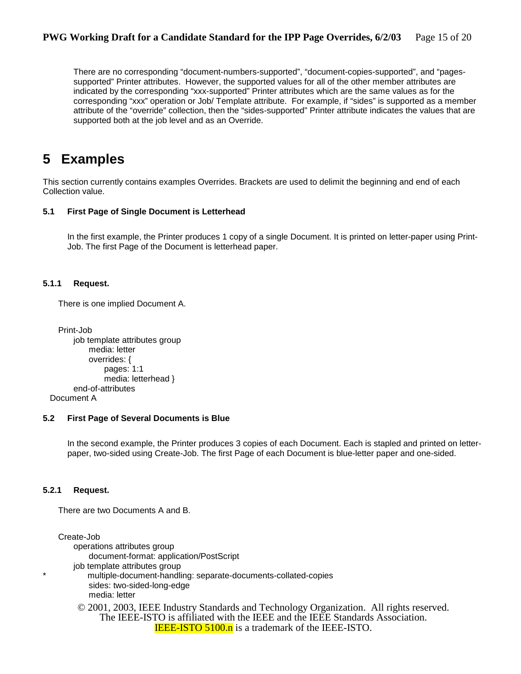There are no corresponding "document-numbers-supported", "document-copies-supported", and "pagessupported" Printer attributes. However, the supported values for all of the other member attributes are indicated by the corresponding "xxx-supported" Printer attributes which are the same values as for the corresponding "xxx" operation or Job/ Template attribute. For example, if "sides" is supported as a member attribute of the "override" collection, then the "sides-supported" Printer attribute indicates the values that are supported both at the job level and as an Override.

### **5 Examples**

This section currently contains examples Overrides. Brackets are used to delimit the beginning and end of each Collection value.

#### **5.1 First Page of Single Document is Letterhead**

In the first example, the Printer produces 1 copy of a single Document. It is printed on letter-paper using Print-Job. The first Page of the Document is letterhead paper.

#### **5.1.1 Request.**

There is one implied Document A.

```
Print-Job 
    job template attributes group 
        media: letter 
         overrides: { 
             pages: 1:1 
             media: letterhead }
    end-of-attributes
```
Document A

#### **5.2 First Page of Several Documents is Blue**

In the second example, the Printer produces 3 copies of each Document. Each is stapled and printed on letterpaper, two-sided using Create-Job. The first Page of each Document is blue-letter paper and one-sided.

#### **5.2.1 Request.**

There are two Documents A and B.

```
© 2001, 2003, IEEE Industry Standards and Technology Organization. All rights reserved. 
Create-Job 
    operations attributes group 
        document-format: application/PostScript 
   job template attributes group 
       multiple-document-handling: separate-documents-collated-copies
       sides: two-sided-long-edge 
        media: letter
```
The IEEE-ISTO is affiliated with the IEEE and the IEEE Standards Association. **IEEE-ISTO 5100.n** is a trademark of the IEEE-ISTO.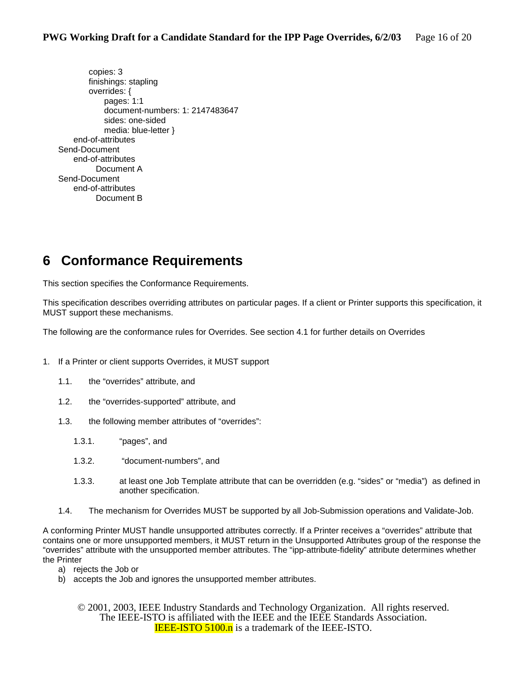copies: 3 finishings: stapling overrides: { pages: 1:1 document-numbers: 1: 2147483647 sides: one-sided media: blue-letter } end-of-attributes Send-Document end-of-attributes Document A Send-Document end-of-attributes Document B

# **6 Conformance Requirements**

This section specifies the Conformance Requirements.

This specification describes overriding attributes on particular pages. If a client or Printer supports this specification, it MUST support these mechanisms.

The following are the conformance rules for Overrides. See section 4.1 for further details on Overrides

- 1. If a Printer or client supports Overrides, it MUST support
	- 1.1. the "overrides" attribute, and
	- 1.2. the "overrides-supported" attribute, and
	- 1.3. the following member attributes of "overrides":
		- 1.3.1. "pages", and
		- 1.3.2. "document-numbers", and
		- 1.3.3. at least one Job Template attribute that can be overridden (e.g. "sides" or "media") as defined in another specification.
	- 1.4. The mechanism for Overrides MUST be supported by all Job-Submission operations and Validate-Job.

A conforming Printer MUST handle unsupported attributes correctly. If a Printer receives a "overrides" attribute that contains one or more unsupported members, it MUST return in the Unsupported Attributes group of the response the "overrides" attribute with the unsupported member attributes. The "ipp-attribute-fidelity" attribute determines whether the Printer

- a) rejects the Job or
- b) accepts the Job and ignores the unsupported member attributes.
	- © 2001, 2003, IEEE Industry Standards and Technology Organization. All rights reserved. The IEEE-ISTO is affiliated with the IEEE and the IEEE Standards Association. **IEEE-ISTO 5100.n** is a trademark of the IEEE-ISTO.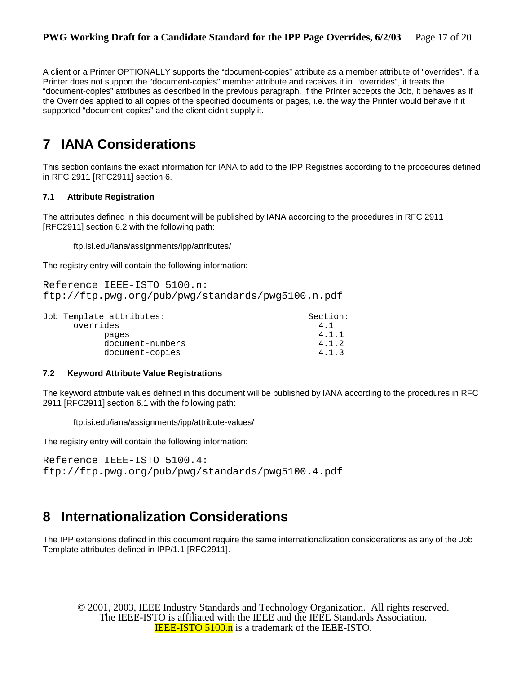A client or a Printer OPTIONALLY supports the "document-copies" attribute as a member attribute of "overrides". If a Printer does not support the "document-copies" member attribute and receives it in "overrides", it treats the "document-copies" attributes as described in the previous paragraph. If the Printer accepts the Job, it behaves as if the Overrides applied to all copies of the specified documents or pages, i.e. the way the Printer would behave if it supported "document-copies" and the client didn't supply it.

# **7 IANA Considerations**

This section contains the exact information for IANA to add to the IPP Registries according to the procedures defined in RFC 2911 [RFC2911] section 6.

#### **7.1 Attribute Registration**

The attributes defined in this document will be published by IANA according to the procedures in RFC 2911 [RFC2911] section 6.2 with the following path:

ftp.isi.edu/iana/assignments/ipp/attributes/

The registry entry will contain the following information:

```
Reference IEEE-ISTO 5100.n: 
ftp://ftp.pwg.org/pub/pwg/standards/pwg5100.n.pdf
```

| Job Template attributes: | Section: |
|--------------------------|----------|
| overrides                | 4.1      |
| pages                    | 4.1.1    |
| document-numbers         | 4.1.2    |
| document-copies          | 4.1.3    |

#### **7.2 Keyword Attribute Value Registrations**

The keyword attribute values defined in this document will be published by IANA according to the procedures in RFC 2911 [RFC2911] section 6.1 with the following path:

ftp.isi.edu/iana/assignments/ipp/attribute-values/

The registry entry will contain the following information:

```
Reference IEEE-ISTO 5100.4: 
ftp://ftp.pwg.org/pub/pwg/standards/pwg5100.4.pdf
```
## **8 Internationalization Considerations**

The IPP extensions defined in this document require the same internationalization considerations as any of the Job Template attributes defined in IPP/1.1 [RFC2911].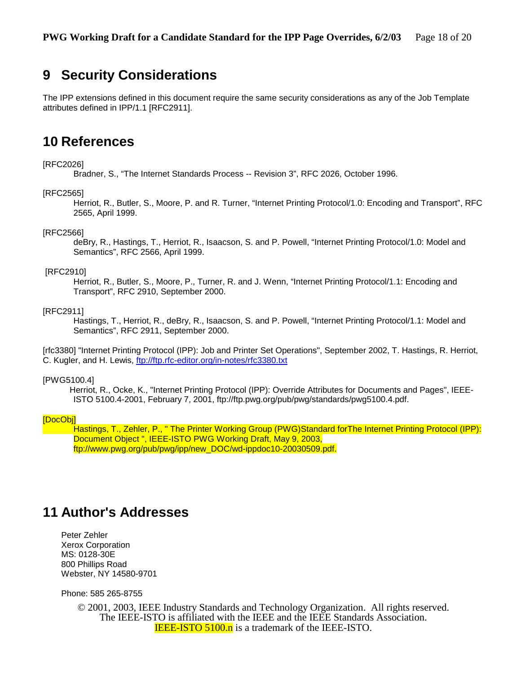### **9 Security Considerations**

The IPP extensions defined in this document require the same security considerations as any of the Job Template attributes defined in IPP/1.1 [RFC2911].

### **10 References**

#### [RFC2026]

Bradner, S., "The Internet Standards Process -- Revision 3", RFC 2026, October 1996.

#### [RFC2565]

 Herriot, R., Butler, S., Moore, P. and R. Turner, "Internet Printing Protocol/1.0: Encoding and Transport", RFC 2565, April 1999.

#### [RFC2566]

 deBry, R., Hastings, T., Herriot, R., Isaacson, S. and P. Powell, "Internet Printing Protocol/1.0: Model and Semantics", RFC 2566, April 1999.

#### [RFC2910]

 Herriot, R., Butler, S., Moore, P., Turner, R. and J. Wenn, "Internet Printing Protocol/1.1: Encoding and Transport", RFC 2910, September 2000.

#### [RFC2911]

 Hastings, T., Herriot, R., deBry, R., Isaacson, S. and P. Powell, "Internet Printing Protocol/1.1: Model and Semantics", RFC 2911, September 2000.

[rfc3380] "Internet Printing Protocol (IPP): Job and Printer Set Operations", September 2002, T. Hastings, R. Herriot, C. Kugler, and H. Lewis, ftp://ftp.rfc-editor.org/in-notes/rfc3380.txt

#### [PWG5100.4]

 Herriot, R., Ocke, K., "Internet Printing Protocol (IPP): Override Attributes for Documents and Pages", IEEE-ISTO 5100.4-2001, February 7, 2001, ftp://ftp.pwg.org/pub/pwg/standards/pwg5100.4.pdf.

#### [DocObj]

 Hastings, T., Zehler, P., " The Printer Working Group (PWG)Standard forThe Internet Printing Protocol (IPP): Document Object ", IEEE-ISTO PWG Working Draft, May 9, 2003, ftp://www.pwg.org/pub/pwg/ipp/new\_DOC/wd-ippdoc10-20030509.pdf.

### **11 Author's Addresses**

Peter Zehler Xerox Corporation MS: 0128-30E 800 Phillips Road Webster, NY 14580-9701

Phone: 585 265-8755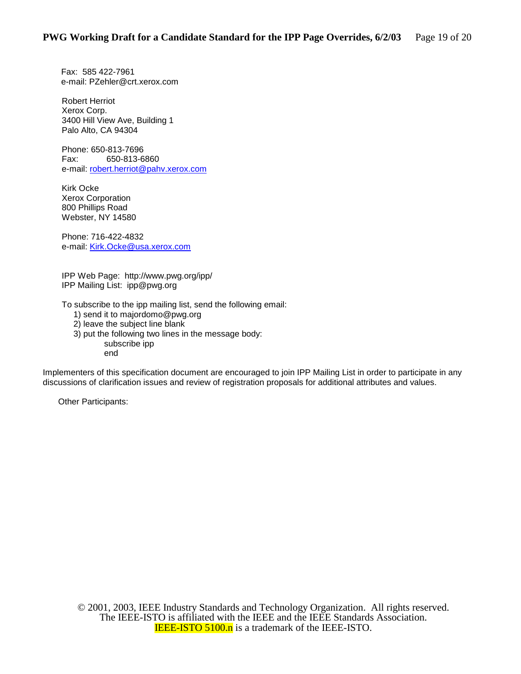Fax: 585 422-7961 e-mail: PZehler@crt.xerox.com

Robert Herriot Xerox Corp. 3400 Hill View Ave, Building 1 Palo Alto, CA 94304

Phone: 650-813-7696 Fax: 650-813-6860 e-mail: robert.herriot@pahv.xerox.com

Kirk Ocke Xerox Corporation 800 Phillips Road Webster, NY 14580

Phone: 716-422-4832 e-mail: Kirk.Ocke@usa.xerox.com

IPP Web Page: http://www.pwg.org/ipp/ IPP Mailing List: ipp@pwg.org

To subscribe to the ipp mailing list, send the following email:

- 1) send it to majordomo@pwg.org
- 2) leave the subject line blank
- 3) put the following two lines in the message body:

subscribe ipp end

Implementers of this specification document are encouraged to join IPP Mailing List in order to participate in any discussions of clarification issues and review of registration proposals for additional attributes and values.

Other Participants: